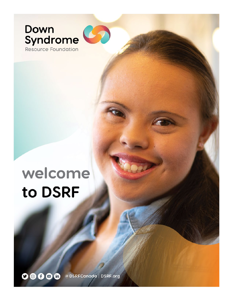# Down<br>Syndrome Resource Foundation

welcome to DSRF

**DOOO** @DSRFCanada | DSRF.org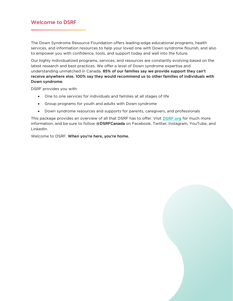The Down Syndrome Resource Foundation offers leading-edge educational programs, health services, and information resources to help your loved one with Down syndrome flourish, and also to empower you with confidence, tools, and support today and well into the future.

Our highly individualized programs, services, and resources are constantly evolving based on the latest research and best practices. We offer a level of Down syndrome expertise and understanding unmatched in Canada. 85% of our families say we provide support they can't receive anywhere else. 100% say they would recommend us to other families of individuals with Down syndrome.

DSRF provides you with:

- One to one services for individuals and families at all stages of life
- Group programs for youth and adults with Down syndrome
- Down syndrome resources and supports for parents, caregivers, and professionals

This package provides an overview of all that DSRF has to offer. Visit **DSRF.org** for much more information, and be sure to follow @DSRFCanada on Facebook, Twitter, Instagram, YouTube, and LinkedIn.

Welcome to DSRF. When you're here, you're home.

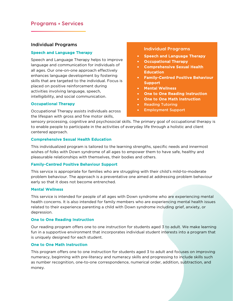## **Programs + Services**

## Individual Programs

#### Speech and Language Therapy

Speech and Language Therapy helps to improve language and communication for individuals of all ages. Our one-on-one approach effectively enhances language development by fostering skills that are targeted to the individual. Focus is placed on positive reinforcement during activities involving language, speech, intelligibility, and social communication.

#### Occupational Therapy

Occupational Therapy assists individuals across the lifespan with gross and fine motor skills,

### **Individual Programs**

- **[Speech and Language Therapy](https://www.dsrf.org/media/Speech%202020.pdf)**
- [Occupational Therapy](https://www.dsrf.org/media/OT%20Children%202020.pdf)
- Comprehensive Sexual Health **Education**
- [Family-Centred Positive Behaviour](https://www.dsrf.org/media/Behaviour%202020.pdf)  [Support](https://www.dsrf.org/media/Behaviour%202020.pdf)
- [Mental Wellness](https://www.dsrf.org/media/Mental%20Wellness%202020.pdf)
- [One to One Reading Instruction](https://www.dsrf.org/media/One%20to%20One%20Reading%202020.pdf)
- **[One to One Math Instruction](https://www.dsrf.org/media/One%20to%20One%20Math%202020.pdf)**
- Reading Tutoring
- Employment Support

sensory processing, cognitive and psychosocial skills. The primary goal of occupational therapy is to enable people to participate in the activities of everyday life through a holistic and client centered approach.

#### Comprehensive Sexual Health Education

This individualized program is tailored to the learning strengths, specific needs and innermost wishes of folks with Down syndrome of all ages to empower them to have safe, healthy and pleasurable relationships with themselves, their bodies and others.

#### Family-Centred Positive Behaviour Support

This service is appropriate for families who are struggling with their child's mild-to-moderate problem behaviour. The approach is a preventative one aimed at addressing problem behaviour early so that it does not become entrenched.

#### Mental Wellness

This service is intended for people of all ages with Down syndrome who are experiencing mental health concerns. It is also intended for family members who are experiencing mental health issues related to their experience parenting a child with Down syndrome including grief, anxiety, or depression.

#### One to One Reading Instruction

Our reading program offers one to one instruction for students aged 3 to adult. We make learning fun in a supportive environment that incorporates individual student interests into a program that is uniquely designed for each student.

### One to One Math Instruction

This program offers one to one instruction for students aged 3 to adult and focuses on improving numeracy, beginning with pre-literacy and numeracy skills and progressing to include skills such as number recognition, one-to-one correspondence, numerical order, addition, subtraction, and money.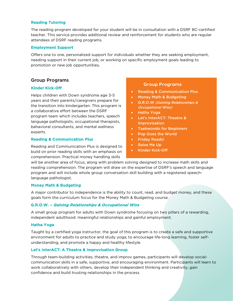### Reading Tutoring

The reading program developed for your student will be in consultation with a DSRF BC-certified teacher. This service provides additional review and reinforcement for students who are regular attendees of DSRF reading programs.

#### Employment Support

Offers one to one, personalized support for individuals whether they are seeking employment, needing support in their current job, or working on specific employment goals leading to promotion or new job opportunities.

## Group Programs

## Kinder Kick-Off

Helps children with Down syndrome age 3-5 years and their parents/caregivers prepare for the transition into kindergarten. This program is a collaborative effort between the DSRF program team which includes teachers, speech language pathologists, occupational therapists, behavioral consultants, and mental wellness experts.

### Reading & Communication Plus

Reading and Communication Plus is designed to build on prior reading skills with an emphasis on comprehension. Practical money handling skills

### **Group Programs**

- Reading & Communication Plus
- Money Math & Budgeting
- G.R.O.W (Gaining Relationships & Occupational Wins)
- Hatha Yoga
- Let's InterACT: Theatre & Improvisation
- Taekwondo for Beginners
- Pop Goes the World
- Friday Reads!
- Raise Me Up
- Kinder Kick-Off

will be another area of focus, along with problem solving designed to increase math skills and reading comprehension. The program will draw on the expertise of DSRF's speech and language program and will include whole group conversation skill building with a registered speechlanguage pathologist.

### Money Math & Budgeting

A major contributor to independence is the ability to count, read, and budget money, and these goals form the curriculum focus for the Money Math & Budgeting course.

### G.R.O.W. – Gaining Relationships & Occupational Wins

A small group program for adults with Down syndrome focusing on two pillars of a rewarding, independent adulthood: meaningful relationships and gainful employment.

### Hatha Yoga

Taught by a certified yoga instructor, the goal of this program is to create a safe and supportive environment for adults to practice and study yoga, to encourage life-long learning, foster selfunderstanding, and promote a happy and healthy lifestyle.

### Let's InterACT: A Theatre & Improvisation Group

Through team-building activities, theatre, and improv games, participants will develop socialcommunication skills in a safe, supportive, and encouraging environment. Participants will learn to work collaboratively with others, develop their independent thinking and creativity, gain confidence and build trusting relationships in the process.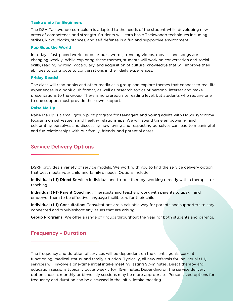### Taekwondo for Beginners

The DSA Taekwondo curriculum is adapted to the needs of the student while developing new areas of competence and strength. Students will learn basic Taekwondo techniques including strikes, kicks, blocks, stances, and self-defense in a fun and supportive environment.

#### Pop Goes the World

In today's fast-paced world, popular buzz words, trending videos, movies, and songs are changing weekly. While exploring these themes, students will work on conversation and social skills, reading, writing, vocabulary, and acquisition of cultural knowledge that will improve their abilities to contribute to conversations in their daily experiences.

#### Friday Reads!

The class will read books and other media as a group and explore themes that connect to real-life experiences in a book club format, as well as research topics of personal interest and make presentations to the group. There is no prerequisite reading level, but students who require one to one support must provide their own support.

### Raise Me Up

Raise Me Up is a small group pilot program for teenagers and young adults with Down syndrome focusing on self-esteem and healthy relationships. We will spend time empowering and celebrating ourselves and discussing how loving and respecting ourselves can lead to meaningful and fun relationships with our family, friends, and potential dates.

## **Service Delivery Options**

DSRF provides a variety of service models. We work with you to find the service delivery option that best meets your child and family's needs. Options include:

Individual (1-1) Direct Service: Individual one-to-one therapy, working directly with a therapist or teaching

Individual (1-1) Parent Coaching: Therapists and teachers work with parents to upskill and empower them to be effective language facilitators for their child

Individual (1-1) Consultation: Consultations are a valuable way for parents and supporters to stay connected and troubleshoot any issues that are arising

Group Programs: We offer a range of groups throughout the year for both students and parents.

# **Frequency + Duration**

The frequency and duration of services will be dependent on the client's goals, current functioning, medical status, and family situation. Typically, all new referrals for individual (1-1) services will involve a one-time initial intake meeting lasting 90-minutes. Direct therapy and education sessions typically occur weekly for 45-minutes. Depending on the service delivery option chosen, monthly or bi-weekly sessions may be more appropriate. Personalized options for frequency and duration can be discussed in the initial intake meeting.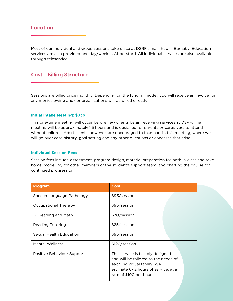# **Location**

Most of our individual and group sessions take place at DSRF's main hub in Burnaby. Education services are also provided one day/week in Abbotsford. All individual services are also available through teleservice.

## **Cost + Billing Structure**

Sessions are billed once monthly. Depending on the funding model, you will receive an invoice for any monies owing and/ or organizations will be billed directly.

#### Initial Intake Meeting: \$336

This one-time meeting will occur before new clients begin receiving services at DSRF. The meeting will be approximately 1.5 hours and is designed for parents or caregivers to attend without children. Adult clients, however, are encouraged to take part in this meeting, where we will go over case history, goal setting and any other questions or concerns that arise.

#### Individual Session Fees

Session fees include assessment, program design, material preparation for both in-class and take home, modelling for other members of the student's support team, and charting the course for continued progression.

| <b>Program</b>             | Cost                                                                                                                                                                       |
|----------------------------|----------------------------------------------------------------------------------------------------------------------------------------------------------------------------|
| Speech-Language Pathology  | \$93/session                                                                                                                                                               |
| Occupational Therapy       | \$93/session                                                                                                                                                               |
| 1-1 Reading and Math       | \$70/session                                                                                                                                                               |
| <b>Reading Tutoring</b>    | \$25/session                                                                                                                                                               |
| Sexual Health Education    | \$93/session                                                                                                                                                               |
| Mental Wellness            | \$120/session                                                                                                                                                              |
| Positive Behaviour Support | This service is flexibly designed<br>and will be tailored to the needs of<br>each individual family. We<br>estimate 6-12 hours of service, at a<br>rate of \$100 per hour. |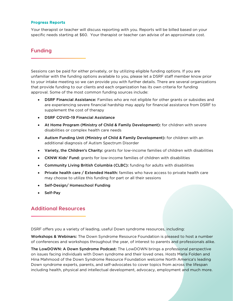#### Progress Reports

Your therapist or teacher will discuss reporting with you. Reports will be billed based on your specific needs starting at \$60. Your therapist or teacher can advise of an approximate cost.

# **Funding**

Sessions can be paid for either privately, or by utilizing eligible funding options. If you are unfamiliar with the funding options available to you, please let a DSRF staff member know prior to your intake meeting so we can provide you with further details. There are several organizations that provide funding to our clients and each organization has its own criteria for funding approval. Some of the most common funding sources include:

- DSRF Financial Assistance: Families who are not eligible for other grants or subsidies and are experiencing severe financial hardship may apply for financial assistance from DSRF to supplement the cost of therapy
- DSRF COVID-19 Financial Assistance
- At Home Program (Ministry of Child & Family Development): for children with severe disabilities or complex health care needs
- Autism Funding Unit (Ministry of Child & Family Development): for children with an additional diagnosis of Autism Spectrum Disorder
- Variety, the Children's Charity: grants for low-income families of children with disabilities
- CKNW Kids' Fund: grants for low-income families of children with disabilities
- Community Living British Columbia (CLBC): funding for adults with disabilities
- Private health care / Extended Health: families who have access to private health care may choose to utilize this funding for part or all their sessions
- Self-Design/ Homeschool Funding
- Self-Pay

## **Additional Resources**

DSRF offers you a variety of leading, useful Down syndrome resources, including:

Workshops & Webinars: The Down Syndrome Resource Foundation is pleased to host a number of conferences and workshops throughout the year, of interest to parents and professionals alike.

The LowDOWN: A Down Syndrome Podcast: The LowDOWN brings a professional perspective on issues facing individuals with Down syndrome and their loved ones. Hosts Marla Folden and Hina Mahmood of the Down Syndrome Resource Foundation welcome North America's leading Down syndrome experts, parents, and self-advocates to cover topics from across the lifespan including health, physical and intellectual development, advocacy, employment and much more.